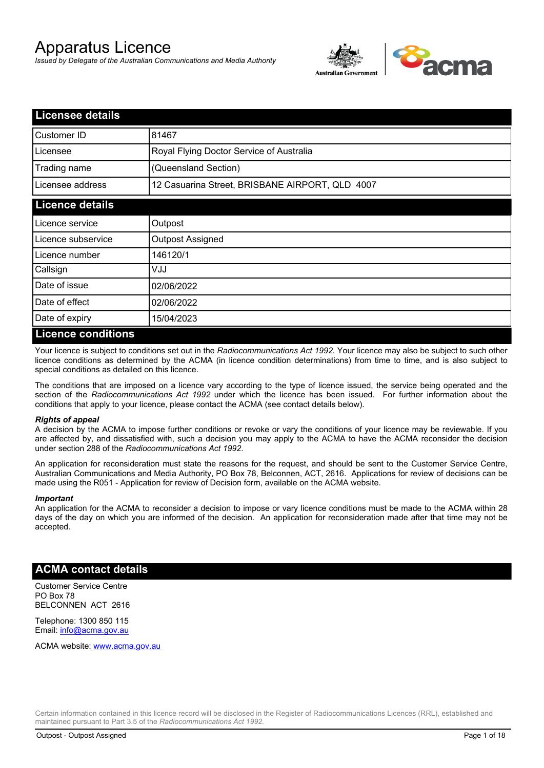# Apparatus Licence

*Issued by Delegate of the Australian Communications and Media Authority*



| <b>Licensee details</b> |                                                 |  |
|-------------------------|-------------------------------------------------|--|
| Customer ID             | 81467                                           |  |
| Licensee                | Royal Flying Doctor Service of Australia        |  |
| Trading name            | (Queensland Section)                            |  |
| Licensee address        | 12 Casuarina Street, BRISBANE AIRPORT, QLD 4007 |  |
| <b>Licence details</b>  |                                                 |  |
| Licence service         | Outpost                                         |  |
| Licence subservice      | Outpost Assigned                                |  |
| Licence number          | 146120/1                                        |  |
| Callsign                | UUV                                             |  |
| Date of issue           | 02/06/2022                                      |  |
| Date of effect          | 02/06/2022                                      |  |
| Date of expiry          | 15/04/2023                                      |  |
| Licance conditions      |                                                 |  |

### **Licence conditions**

Your licence is subject to conditions set out in the *Radiocommunications Act 1992*. Your licence may also be subject to such other licence conditions as determined by the ACMA (in licence condition determinations) from time to time, and is also subject to special conditions as detailed on this licence.

The conditions that are imposed on a licence vary according to the type of licence issued, the service being operated and the section of the *Radiocommunications Act 1992* under which the licence has been issued. For further information about the conditions that apply to your licence, please contact the ACMA (see contact details below).

#### *Rights of appeal*

A decision by the ACMA to impose further conditions or revoke or vary the conditions of your licence may be reviewable. If you are affected by, and dissatisfied with, such a decision you may apply to the ACMA to have the ACMA reconsider the decision under section 288 of the *Radiocommunications Act 1992*.

An application for reconsideration must state the reasons for the request, and should be sent to the Customer Service Centre, Australian Communications and Media Authority, PO Box 78, Belconnen, ACT, 2616. Applications for review of decisions can be made using the R051 - Application for review of Decision form, available on the ACMA website.

#### *Important*

An application for the ACMA to reconsider a decision to impose or vary licence conditions must be made to the ACMA within 28 days of the day on which you are informed of the decision. An application for reconsideration made after that time may not be accepted.

#### **ACMA contact details**

Customer Service Centre PO Box 78 BELCONNEN ACT 2616

Telephone: 1300 850 115 Email: info@acma.gov.au

ACMA website: www.acma.gov.au

Certain information contained in this licence record will be disclosed in the Register of Radiocommunications Licences (RRL), established and maintained pursuant to Part 3.5 of the *Radiocommunications Act 1992.*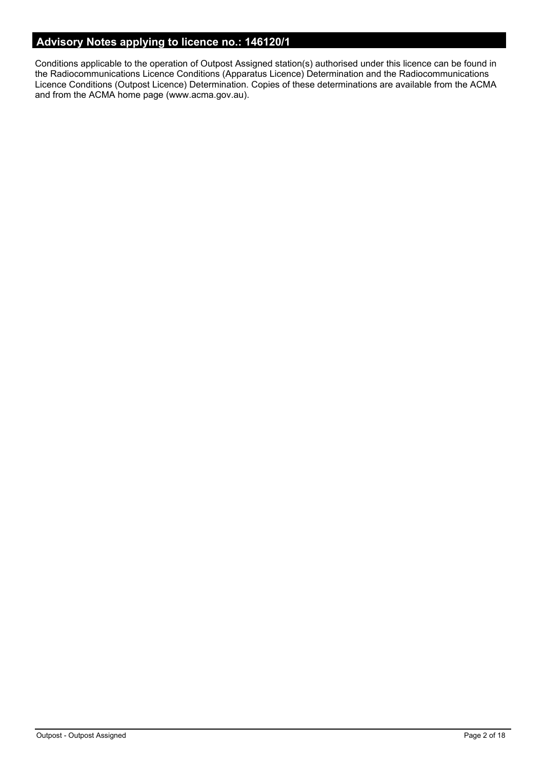# **Advisory Notes applying to licence no.: 146120/1**

Conditions applicable to the operation of Outpost Assigned station(s) authorised under this licence can be found in the Radiocommunications Licence Conditions (Apparatus Licence) Determination and the Radiocommunications Licence Conditions (Outpost Licence) Determination. Copies of these determinations are available from the ACMA and from the ACMA home page (www.acma.gov.au).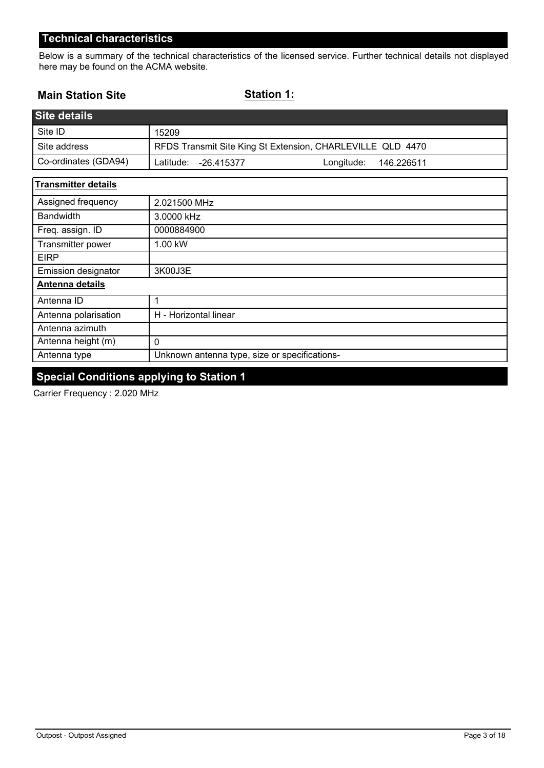Below is a summary of the technical characteristics of the licensed service. Further technical details not displayed here may be found on the ACMA website.

### **Main Station Site**

**Station 1:**

| <b>Site details</b>        |                                                            |
|----------------------------|------------------------------------------------------------|
| Site ID                    | 15209                                                      |
| Site address               | RFDS Transmit Site King St Extension, CHARLEVILLE QLD 4470 |
| Co-ordinates (GDA94)       | Latitude:<br>Longitude:<br>-26.415377<br>146.226511        |
| <b>Transmitter details</b> |                                                            |
| Assigned frequency         | 2.021500 MHz                                               |
| <b>Bandwidth</b>           | 3.0000 kHz                                                 |
| Freq. assign. ID           | 0000884900                                                 |
| Transmitter power          | 1.00 kW                                                    |
| <b>EIRP</b>                |                                                            |
| <b>Emission designator</b> | 3K00J3E                                                    |
| Antenna details            |                                                            |
| Antenna ID                 | 1                                                          |
| Antenna polarisation       | H - Horizontal linear                                      |
| Antenna azimuth            |                                                            |
| Antenna height (m)         | $\mathbf 0$                                                |
| Antenna type               | Unknown antenna type, size or specifications-              |

# **Special Conditions applying to Station 1**

Carrier Frequency : 2.020 MHz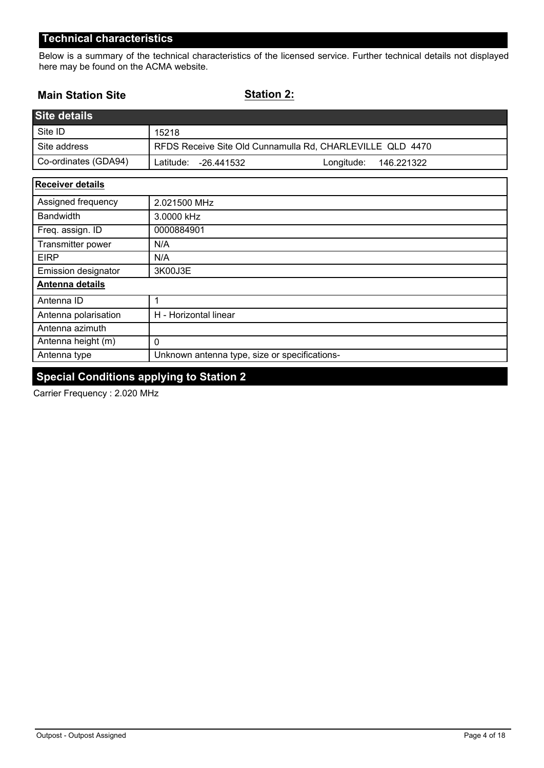Below is a summary of the technical characteristics of the licensed service. Further technical details not displayed here may be found on the ACMA website.

#### **Main Station Site**

**Station 2:**

| <b>Site details</b>     |                                                           |
|-------------------------|-----------------------------------------------------------|
| Site ID                 | 15218                                                     |
| Site address            | RFDS Receive Site Old Cunnamulla Rd, CHARLEVILLE QLD 4470 |
| Co-ordinates (GDA94)    | Longitude:<br>Latitude:<br>146.221322<br>-26.441532       |
| <b>Receiver details</b> |                                                           |
| Assigned frequency      | 2.021500 MHz                                              |
| <b>Bandwidth</b>        | 3.0000 kHz                                                |
| Freq. assign. ID        | 0000884901                                                |
| Transmitter power       | N/A                                                       |
| <b>EIRP</b>             | N/A                                                       |
| Emission designator     | 3K00J3E                                                   |
| Antenna details         |                                                           |
| Antenna ID              | 1                                                         |
| Antenna polarisation    | H - Horizontal linear                                     |
| Antenna azimuth         |                                                           |

Antenna type Unknown antenna type, size or specifications-

# **Special Conditions applying to Station 2**

0

Carrier Frequency : 2.020 MHz

Antenna height (m)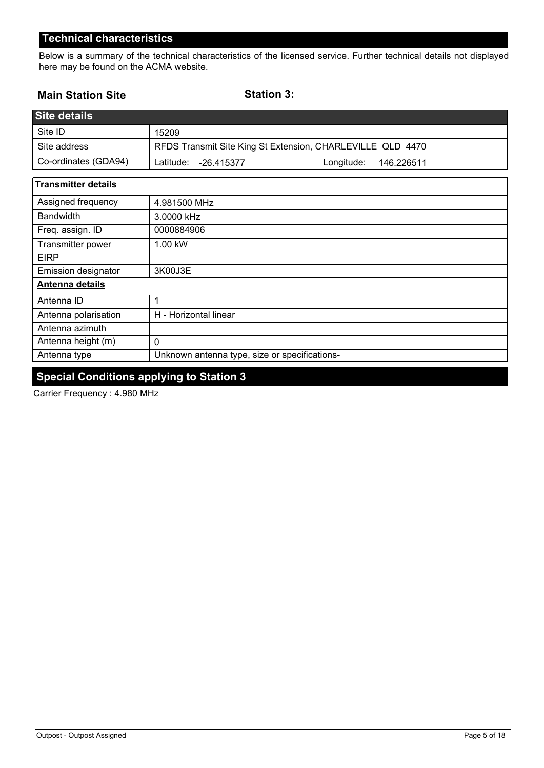Below is a summary of the technical characteristics of the licensed service. Further technical details not displayed here may be found on the ACMA website.

### **Main Station Site**

**Station 3:**

| <b>Site details</b>        |                                                            |
|----------------------------|------------------------------------------------------------|
| Site ID                    | 15209                                                      |
| Site address               | RFDS Transmit Site King St Extension, CHARLEVILLE QLD 4470 |
| Co-ordinates (GDA94)       | Longitude:<br>Latitude:<br>$-26.415377$<br>146.226511      |
| <b>Transmitter details</b> |                                                            |
| Assigned frequency         | 4.981500 MHz                                               |
| <b>Bandwidth</b>           | 3.0000 kHz                                                 |
| Freq. assign. ID           | 0000884906                                                 |
| Transmitter power          | 1.00 kW                                                    |
| <b>EIRP</b>                |                                                            |
| Emission designator        | 3K00J3E                                                    |
| Antenna details            |                                                            |
| Antenna ID                 | 1                                                          |
| Antenna polarisation       | H - Horizontal linear                                      |
| Antenna azimuth            |                                                            |
| Antenna height (m)         | 0                                                          |
| Antenna type               | Unknown antenna type, size or specifications-              |

# **Special Conditions applying to Station 3**

Carrier Frequency : 4.980 MHz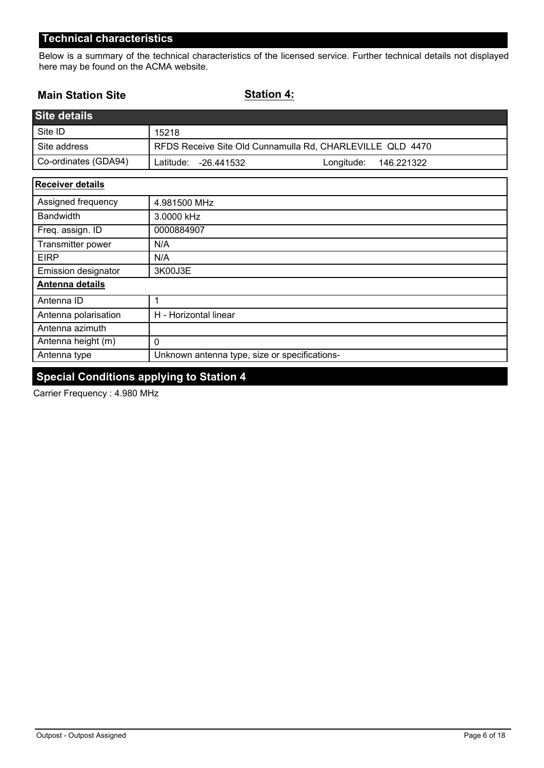Below is a summary of the technical characteristics of the licensed service. Further technical details not displayed here may be found on the ACMA website.

### **Main Station Site**

**Station 4:**

| <b>Site details</b>        |                                                           |
|----------------------------|-----------------------------------------------------------|
| Site ID                    | 15218                                                     |
| Site address               | RFDS Receive Site Old Cunnamulla Rd, CHARLEVILLE QLD 4470 |
| Co-ordinates (GDA94)       | Latitude:<br>Longitude:<br>$-26.441532$<br>146.221322     |
| <b>Receiver details</b>    |                                                           |
| Assigned frequency         | 4.981500 MHz                                              |
| <b>Bandwidth</b>           | 3.0000 kHz                                                |
| Freq. assign. ID           | 0000884907                                                |
| Transmitter power          | N/A                                                       |
| <b>EIRP</b>                | N/A                                                       |
| <b>Emission designator</b> | 3K00J3E                                                   |
| Antenna details            |                                                           |
| Antenna ID                 | 1                                                         |
| Antenna polarisation       | H - Horizontal linear                                     |

| Antenna height (m) |                                                 |
|--------------------|-------------------------------------------------|
| Antenna type       | I Unknown antenna type, size or specifications- |

# **Special Conditions applying to Station 4**

Carrier Frequency : 4.980 MHz

Antenna azimuth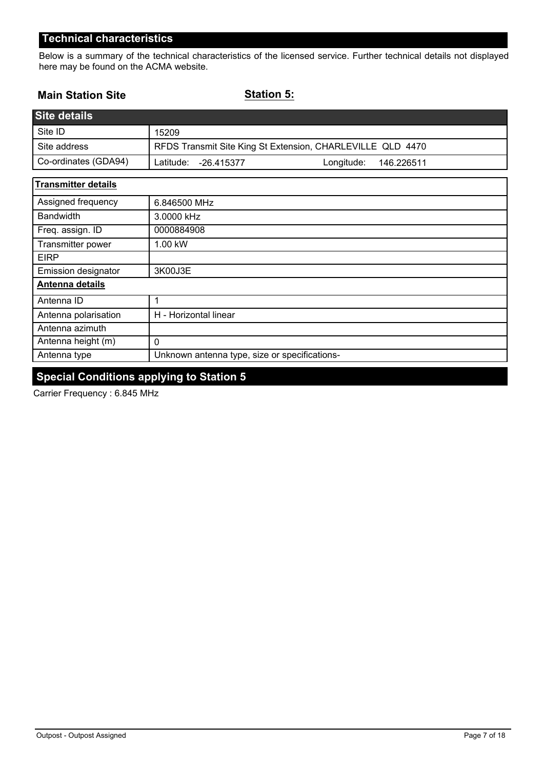Below is a summary of the technical characteristics of the licensed service. Further technical details not displayed here may be found on the ACMA website.

### **Main Station Site**

**Station 5:**

| <b>Site details</b>        |                                                            |
|----------------------------|------------------------------------------------------------|
| Site ID                    | 15209                                                      |
| Site address               | RFDS Transmit Site King St Extension, CHARLEVILLE QLD 4470 |
| Co-ordinates (GDA94)       | Latitude:<br>Longitude:<br>$-26.415377$<br>146.226511      |
| <b>Transmitter details</b> |                                                            |
| Assigned frequency         | 6.846500 MHz                                               |
| <b>Bandwidth</b>           | 3.0000 kHz                                                 |
| Freq. assign. ID           | 0000884908                                                 |
| Transmitter power          | 1.00 kW                                                    |
| <b>EIRP</b>                |                                                            |
| Emission designator        | 3K00J3E                                                    |
| <b>Antenna details</b>     |                                                            |
| Antenna ID                 | 1                                                          |
| Antenna polarisation       | H - Horizontal linear                                      |
| Antenna azimuth            |                                                            |
| Antenna height (m)         | 0                                                          |
| Antenna type               | Unknown antenna type, size or specifications-              |

# **Special Conditions applying to Station 5**

Carrier Frequency : 6.845 MHz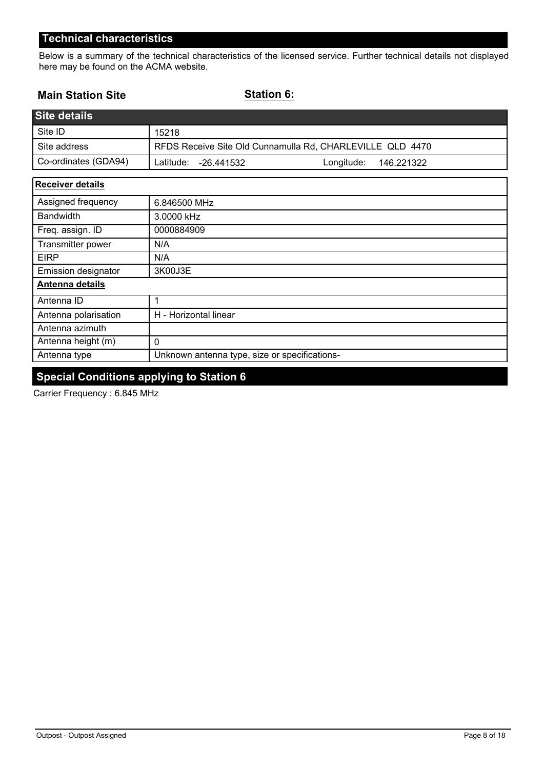Below is a summary of the technical characteristics of the licensed service. Further technical details not displayed here may be found on the ACMA website.

### **Main Station Site**

**Station 6:**

| <b>Site details</b>     |                                                           |  |
|-------------------------|-----------------------------------------------------------|--|
| Site ID                 | 15218                                                     |  |
| Site address            | RFDS Receive Site Old Cunnamulla Rd, CHARLEVILLE QLD 4470 |  |
| Co-ordinates (GDA94)    | Latitude:<br>Longitude:<br>146.221322<br>-26.441532       |  |
| <b>Receiver details</b> |                                                           |  |
| Assigned frequency      | 6.846500 MHz                                              |  |
| <b>Bandwidth</b>        | 3.0000 kHz                                                |  |
| Freq. assign. ID        | 0000884909                                                |  |
| Transmitter nower       | N/A                                                       |  |

| <b>HANDIHILIOI PUWU</b>    | 1.171                                         |
|----------------------------|-----------------------------------------------|
| <b>EIRP</b>                | N/A                                           |
| <b>Emission designator</b> | 3K00J3E                                       |
| Antenna details            |                                               |
| Antenna ID                 |                                               |
| Antenna polarisation       | H - Horizontal linear                         |
| Antenna azimuth            |                                               |
| Antenna height (m)         | 0                                             |
| Antenna type               | Unknown antenna type, size or specifications- |

# **Special Conditions applying to Station 6**

Carrier Frequency : 6.845 MHz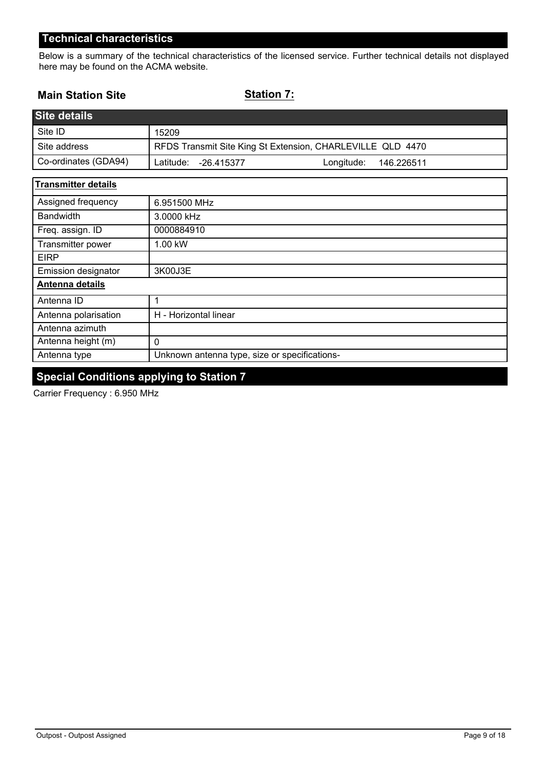Below is a summary of the technical characteristics of the licensed service. Further technical details not displayed here may be found on the ACMA website.

### **Main Station Site**

**Station 7:**

| <b>Site details</b>        |                                                            |
|----------------------------|------------------------------------------------------------|
| Site ID                    | 15209                                                      |
| Site address               | RFDS Transmit Site King St Extension, CHARLEVILLE QLD 4470 |
| Co-ordinates (GDA94)       | Latitude:<br>Longitude:<br>$-26.415377$<br>146.226511      |
| <b>Transmitter details</b> |                                                            |
| Assigned frequency         | 6.951500 MHz                                               |
| <b>Bandwidth</b>           | 3.0000 kHz                                                 |
| Freq. assign. ID           | 0000884910                                                 |
| Transmitter power          | 1.00 kW                                                    |
| <b>EIRP</b>                |                                                            |
| <b>Emission designator</b> | 3K00J3E                                                    |
| Antenna details            |                                                            |
| Antenna ID                 | 1                                                          |
| Antenna polarisation       | H - Horizontal linear                                      |
| Antenna azimuth            |                                                            |
| Antenna height (m)         | 0                                                          |
| Antenna type               | Unknown antenna type, size or specifications-              |

# **Special Conditions applying to Station 7**

Carrier Frequency : 6.950 MHz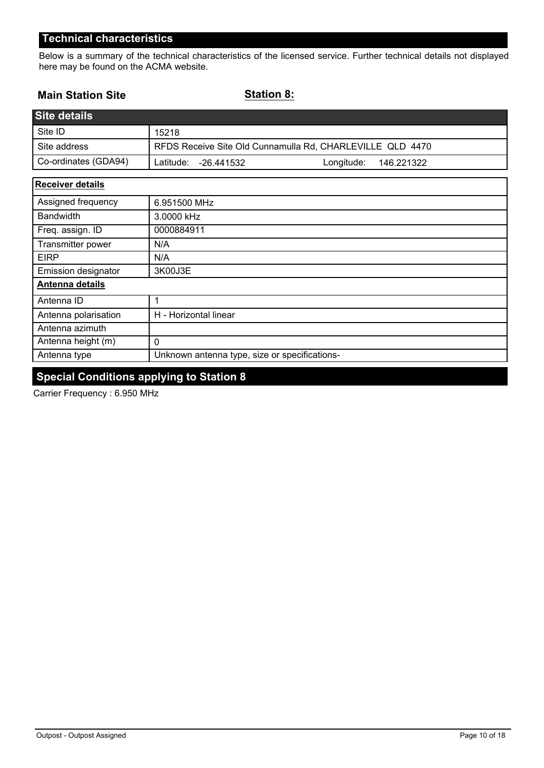Below is a summary of the technical characteristics of the licensed service. Further technical details not displayed here may be found on the ACMA website.

### **Main Station Site**

**Station 8:**

| <b>Site details</b>     |                                                           |
|-------------------------|-----------------------------------------------------------|
| Site ID                 | 15218                                                     |
| Site address            | RFDS Receive Site Old Cunnamulla Rd, CHARLEVILLE QLD 4470 |
| Co-ordinates (GDA94)    | Latitude:<br>Longitude:<br>146.221322<br>-26.441532       |
| <b>Receiver details</b> |                                                           |
| Assigned frequency      | 6.951500 MHz                                              |
| <b>Bandwidth</b>        | 3.0000 kHz                                                |
| Freq. assign. ID        | 0000884911                                                |
| Transmitter power       | N/A                                                       |
| <b>EIRP</b>             | N/A                                                       |

| <b>Emission designator</b> | 3K00J3E                                       |
|----------------------------|-----------------------------------------------|
| Antenna details            |                                               |
| Antenna ID                 |                                               |
| Antenna polarisation       | H - Horizontal linear                         |
| Antenna azimuth            |                                               |
| Antenna height (m)         |                                               |
| Antenna type               | Unknown antenna type, size or specifications- |

# **Special Conditions applying to Station 8**

Carrier Frequency : 6.950 MHz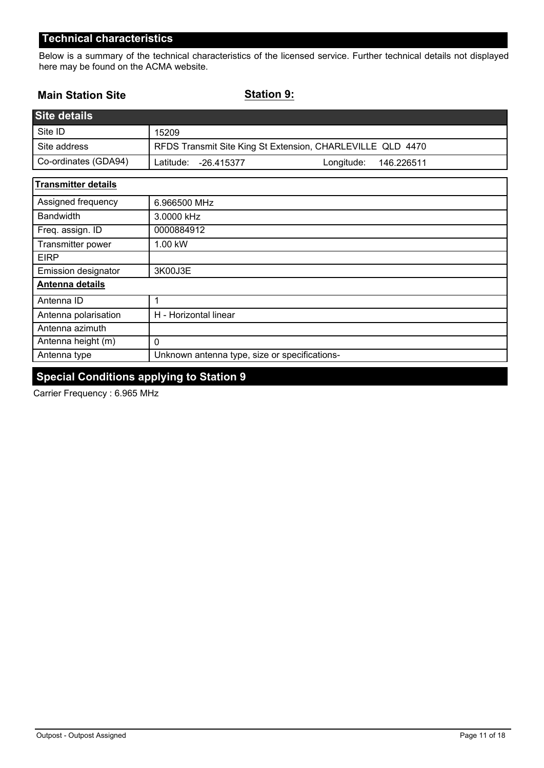Below is a summary of the technical characteristics of the licensed service. Further technical details not displayed here may be found on the ACMA website.

### **Main Station Site**

**Station 9:**

| <b>Site details</b>        |                                                            |
|----------------------------|------------------------------------------------------------|
| Site ID                    | 15209                                                      |
| Site address               | RFDS Transmit Site King St Extension, CHARLEVILLE QLD 4470 |
| Co-ordinates (GDA94)       | Longitude:<br>Latitude:<br>-26.415377<br>146.226511        |
| <b>Transmitter details</b> |                                                            |
| Assigned frequency         | 6.966500 MHz                                               |
| <b>Bandwidth</b>           | 3.0000 kHz                                                 |
| Freq. assign. ID           | 0000884912                                                 |
| Transmitter power          | 1.00 kW                                                    |
| <b>EIRP</b>                |                                                            |
| <b>Emission designator</b> | 3K00J3E                                                    |
| <b>Antenna details</b>     |                                                            |
| Antenna ID                 | 1                                                          |
| Antenna polarisation       | H - Horizontal linear                                      |
| Antenna azimuth            |                                                            |
| Antenna height (m)         | $\Omega$                                                   |
| Antenna type               | Unknown antenna type, size or specifications-              |

# **Special Conditions applying to Station 9**

Carrier Frequency : 6.965 MHz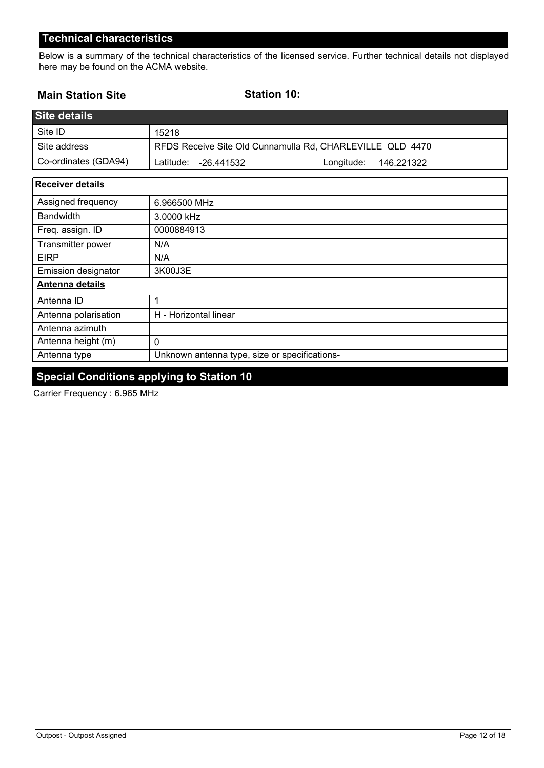Below is a summary of the technical characteristics of the licensed service. Further technical details not displayed here may be found on the ACMA website.

### **Main Station Site**

**Station 10:**

| Site details         |                                                           |  |
|----------------------|-----------------------------------------------------------|--|
| Site ID              | 15218                                                     |  |
| Site address         | RFDS Receive Site Old Cunnamulla Rd, CHARLEVILLE QLD 4470 |  |
| Co-ordinates (GDA94) | Latitude:<br>Longitude:<br>146.221322<br>-26.441532       |  |
| Receiver details     |                                                           |  |
| Assigned frequency   | 6.966500 MHz                                              |  |

| <b>Bandwidth</b>     | 3.0000 kHz                                    |
|----------------------|-----------------------------------------------|
| Freq. assign. ID     | 0000884913                                    |
| Transmitter power    | N/A                                           |
| <b>EIRP</b>          | N/A                                           |
| Emission designator  | 3K00J3E                                       |
| Antenna details      |                                               |
| Antenna ID           |                                               |
| Antenna polarisation | H - Horizontal linear                         |
| Antenna azimuth      |                                               |
| Antenna height (m)   | 0                                             |
| Antenna type         | Unknown antenna type, size or specifications- |

# **Special Conditions applying to Station 10**

Carrier Frequency : 6.965 MHz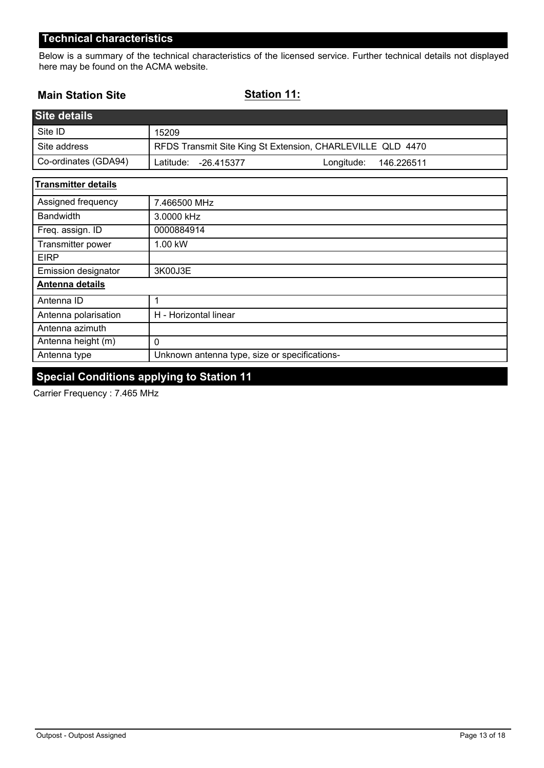Below is a summary of the technical characteristics of the licensed service. Further technical details not displayed here may be found on the ACMA website.

### **Main Station Site**

**Station 11:**

| <b>Site details</b>        |                                                            |
|----------------------------|------------------------------------------------------------|
| Site ID                    | 15209                                                      |
| Site address               | RFDS Transmit Site King St Extension, CHARLEVILLE QLD 4470 |
| Co-ordinates (GDA94)       | Latitude:<br>Longitude:<br>$-26.415377$<br>146.226511      |
| <b>Transmitter details</b> |                                                            |
| Assigned frequency         | 7.466500 MHz                                               |
| <b>Bandwidth</b>           | 3.0000 kHz                                                 |
| Freq. assign. ID           | 0000884914                                                 |
| Transmitter power          | 1.00 kW                                                    |
| <b>EIRP</b>                |                                                            |
| <b>Emission designator</b> | 3K00J3E                                                    |
| Antenna details            |                                                            |
| Antenna ID                 | 1                                                          |
| Antenna polarisation       | H - Horizontal linear                                      |
| Antenna azimuth            |                                                            |
| Antenna height (m)         | $\mathbf 0$                                                |
| Antenna type               | Unknown antenna type, size or specifications-              |

# **Special Conditions applying to Station 11**

Carrier Frequency : 7.465 MHz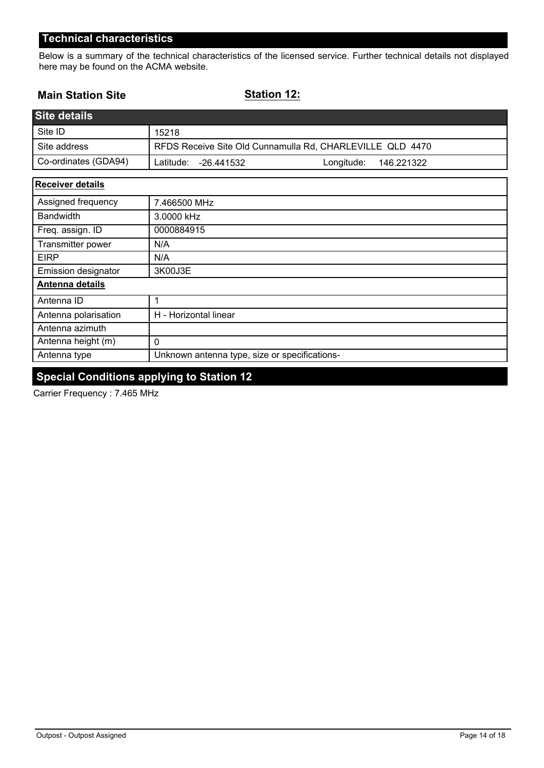Below is a summary of the technical characteristics of the licensed service. Further technical details not displayed here may be found on the ACMA website.

### **Main Station Site**

**Station 12:**

| <b>Site details</b>     |                                                           |
|-------------------------|-----------------------------------------------------------|
| Site ID                 | 15218                                                     |
| Site address            | RFDS Receive Site Old Cunnamulla Rd, CHARLEVILLE QLD 4470 |
| Co-ordinates (GDA94)    | Latitude:<br>Longitude:<br>146.221322<br>-26.441532       |
| <b>Receiver details</b> |                                                           |
| Assigned frequency      | 7.466500 MHz                                              |
| <b>Bandwidth</b>        | 3.0000 kHz                                                |
| Freq. assign. ID        | 0000884915                                                |
| Transmitter power       | N/A                                                       |
| <b>FIDD</b>             | <b>AIA</b>                                                |

| <b>EIRP</b>                | N/A                                           |
|----------------------------|-----------------------------------------------|
| <b>Emission designator</b> | 3K00J3E                                       |
| Antenna details            |                                               |
| Antenna ID                 |                                               |
| Antenna polarisation       | H - Horizontal linear                         |
| Antenna azimuth            |                                               |
| Antenna height (m)         |                                               |
| Antenna type               | Unknown antenna type, size or specifications- |

# **Special Conditions applying to Station 12**

Carrier Frequency : 7.465 MHz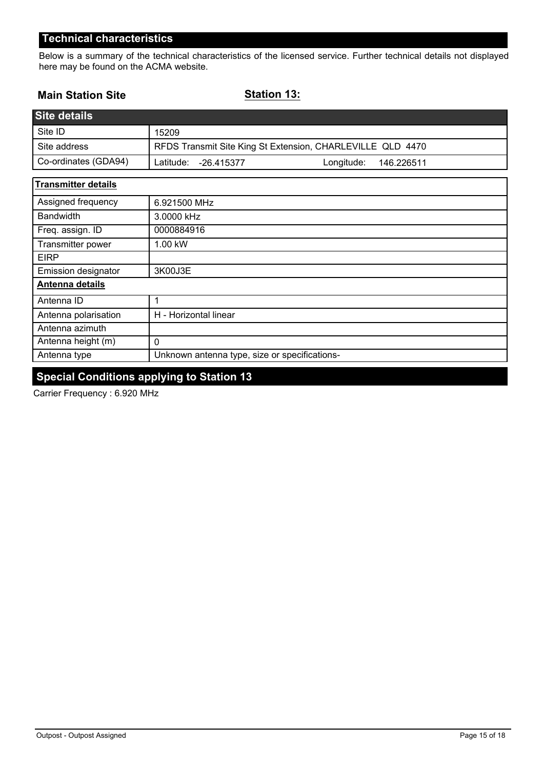Below is a summary of the technical characteristics of the licensed service. Further technical details not displayed here may be found on the ACMA website.

### **Main Station Site**

**Station 13:**

| <b>Site details</b>        |                                                            |
|----------------------------|------------------------------------------------------------|
| Site ID                    | 15209                                                      |
| Site address               | RFDS Transmit Site King St Extension, CHARLEVILLE QLD 4470 |
| Co-ordinates (GDA94)       | Latitude:<br>Longitude:<br>$-26.415377$<br>146.226511      |
| <b>Transmitter details</b> |                                                            |
| Assigned frequency         | 6.921500 MHz                                               |
| <b>Bandwidth</b>           | 3.0000 kHz                                                 |
| Freq. assign. ID           | 0000884916                                                 |
| Transmitter power          | 1.00 kW                                                    |
| <b>EIRP</b>                |                                                            |
| <b>Emission designator</b> | 3K00J3E                                                    |
| Antenna details            |                                                            |
| Antenna ID                 | 1                                                          |
| Antenna polarisation       | H - Horizontal linear                                      |
| Antenna azimuth            |                                                            |
| Antenna height (m)         | $\mathbf 0$                                                |
| Antenna type               | Unknown antenna type, size or specifications-              |

# **Special Conditions applying to Station 13**

Carrier Frequency : 6.920 MHz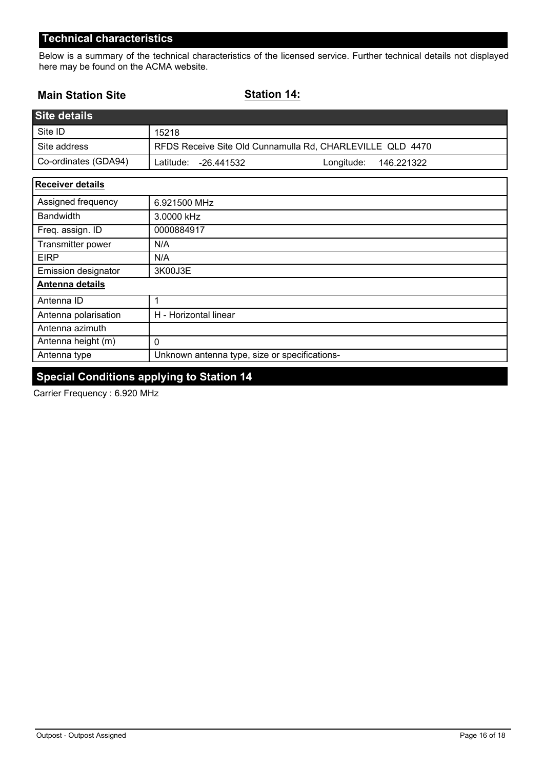Below is a summary of the technical characteristics of the licensed service. Further technical details not displayed here may be found on the ACMA website.

### **Main Station Site**

**Station 14:**

| <b>Site details</b>     |                                                           |
|-------------------------|-----------------------------------------------------------|
| Site ID                 | 15218                                                     |
| Site address            | RFDS Receive Site Old Cunnamulla Rd, CHARLEVILLE QLD 4470 |
| Co-ordinates (GDA94)    | Latitude:<br>Longitude:<br>146.221322<br>-26.441532       |
| <b>Receiver details</b> |                                                           |
| Assigned frequency      | 6.921500 MHz                                              |
| <b>Bandwidth</b>        | 3.0000 kHz                                                |
| Freq. assign. ID        | 0000884917                                                |
| Transmitter power       | N/A                                                       |
| <b>EIRP</b>             | N/A                                                       |
| Emission designator     | 3K00J3E                                                   |
| Antenna details         |                                                           |

| Antenna details      |                                               |
|----------------------|-----------------------------------------------|
| Antenna ID           |                                               |
| Antenna polarisation | H - Horizontal linear                         |
| Antenna azimuth      |                                               |
| Antenna height (m)   |                                               |
| Antenna type         | Unknown antenna type, size or specifications- |

# **Special Conditions applying to Station 14**

Carrier Frequency : 6.920 MHz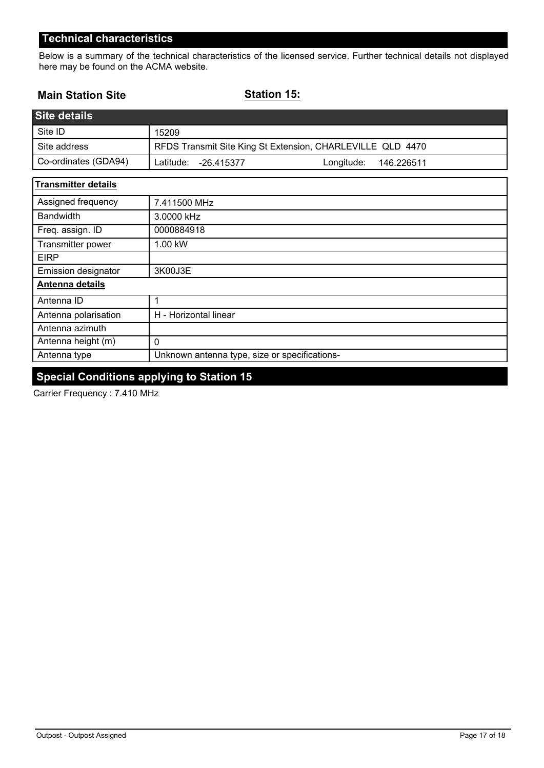Below is a summary of the technical characteristics of the licensed service. Further technical details not displayed here may be found on the ACMA website.

### **Main Station Site**

**Station 15:**

| <b>Site details</b>        |                                                            |
|----------------------------|------------------------------------------------------------|
| Site ID                    | 15209                                                      |
| Site address               | RFDS Transmit Site King St Extension, CHARLEVILLE QLD 4470 |
| Co-ordinates (GDA94)       | Latitude:<br>Longitude:<br>$-26.415377$<br>146.226511      |
| <b>Transmitter details</b> |                                                            |
| Assigned frequency         | 7.411500 MHz                                               |
| <b>Bandwidth</b>           | 3.0000 kHz                                                 |
| Freq. assign. ID           | 0000884918                                                 |
| Transmitter power          | 1.00 kW                                                    |
| <b>EIRP</b>                |                                                            |
| <b>Emission designator</b> | 3K00J3E                                                    |
| Antenna details            |                                                            |
| Antenna ID                 | 1                                                          |
| Antenna polarisation       | H - Horizontal linear                                      |
| Antenna azimuth            |                                                            |
| Antenna height (m)         | $\mathbf 0$                                                |
| Antenna type               | Unknown antenna type, size or specifications-              |

# **Special Conditions applying to Station 15**

Carrier Frequency : 7.410 MHz